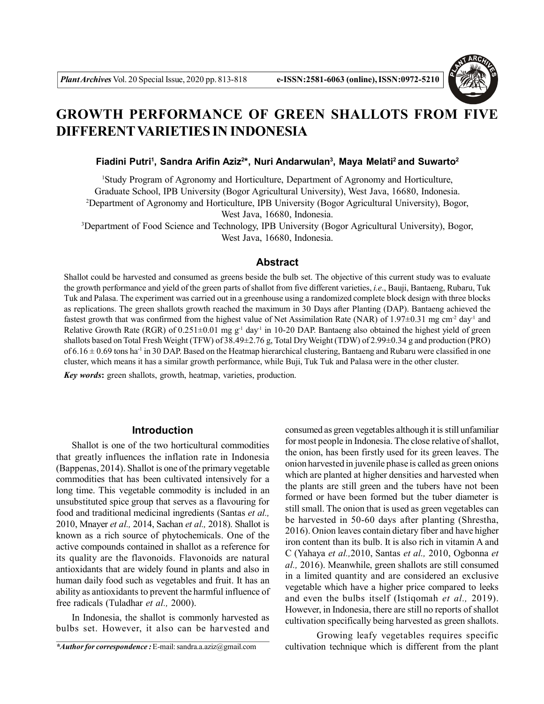

# **GROWTH PERFORMANCE OF GREEN SHALLOTS FROM FIVE DIFFERENTVARIETIES IN INDONESIA**

**Fiadini Putri<sup>1</sup> , Sandra Arifin Aziz<sup>2</sup> \*, Nuri Andarwulan<sup>3</sup> , Maya Melati<sup>2</sup>and Suwarto<sup>2</sup>**

<sup>1</sup>Study Program of Agronomy and Horticulture, Department of Agronomy and Horticulture, Graduate School, IPB University (Bogor Agricultural University), West Java, 16680, Indonesia. <sup>2</sup>Department of Agronomy and Horticulture, IPB University (Bogor Agricultural University), Bogor, West Java, 16680, Indonesia.

<sup>3</sup>Department of Food Science and Technology, IPB University (Bogor Agricultural University), Bogor, West Java, 16680, Indonesia.

#### **Abstract**

Shallot could be harvested and consumed as greens beside the bulb set. The objective of this current study was to evaluate the growth performance and yield of the green parts of shallot from five different varieties, *i.e*., Bauji, Bantaeng, Rubaru, Tuk Tuk and Palasa. The experiment was carried out in a greenhouse using a randomized complete block design with three blocks as replications. The green shallots growth reached the maximum in 30 Days after Planting (DAP). Bantaeng achieved the fastest growth that was confirmed from the highest value of Net Assimilation Rate (NAR) of 1.97 $\pm$ 0.31 mg cm<sup>-2</sup> day<sup>-1</sup> and Relative Growth Rate (RGR) of  $0.251\pm0.01$  mg g<sup>-1</sup> day<sup>-1</sup> in 10-20 DAP. Bantaeng also obtained the highest yield of green shallots based on Total Fresh Weight (TFW) of 38.49±2.76 g, Total Dry Weight (TDW) of 2.99±0.34 g and production (PRO) of  $6.16 \pm 0.69$  tons ha<sup>-1</sup> in 30 DAP. Based on the Heatmap hierarchical clustering, Bantaeng and Rubaru were classified in one cluster, which means it has a similar growth performance, while Buji, Tuk Tuk and Palasa were in the other cluster.

*Key words***:** green shallots, growth, heatmap, varieties, production.

## **Introduction**

Shallot is one of the two horticultural commodities that greatly influences the inflation rate in Indonesia (Bappenas, 2014). Shallot is one of the primary vegetable commodities that has been cultivated intensively for a long time. This vegetable commodity is included in an unsubstituted spice group that serves as a flavouring for food and traditional medicinal ingredients (Santas *et al.,* 2010, Mnayer *et al.,* 2014, Sachan *et al.,* 2018). Shallot is known as a rich source of phytochemicals. One of the active compounds contained in shallot as a reference for its quality are the flavonoids. Flavonoids are natural antioxidants that are widely found in plants and also in human daily food such as vegetables and fruit. It has an ability as antioxidants to prevent the harmful influence of free radicals (Tuladhar *et al.,* 2000).

In Indonesia, the shallot is commonly harvested as bulbs set. However, it also can be harvested and consumed as green vegetables although it is still unfamiliar for most people in Indonesia. The close relative of shallot, the onion, has been firstly used for its green leaves. The onion harvested in juvenile phase is called as green onions which are planted at higher densities and harvested when the plants are still green and the tubers have not been formed or have been formed but the tuber diameter is still small. The onion that is used as green vegetables can be harvested in 50-60 days after planting (Shrestha, 2016). Onion leaves contain dietary fiber and have higher iron content than its bulb. It is also rich in vitamin A and C (Yahaya *et al.,*2010, Santas *et al.,* 2010, Ogbonna *et al.,* 2016). Meanwhile, green shallots are still consumed in a limited quantity and are considered an exclusive vegetable which have a higher price compared to leeks and even the bulbs itself (Istiqomah *et al.,* 2019). However, in Indonesia, there are still no reports of shallot cultivation specifically being harvested as green shallots.

*\*Author for correspondence :* E-mail: sandra.a.aziz@gmail.com

Growing leafy vegetables requires specific cultivation technique which is different from the plant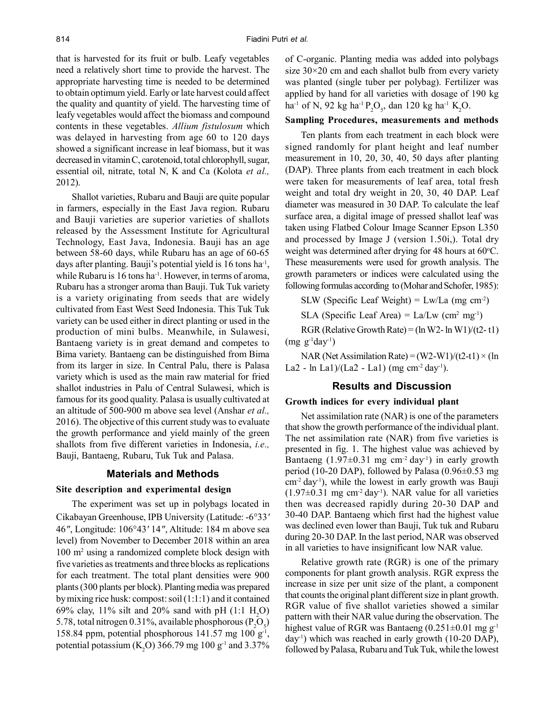that is harvested for its fruit or bulb. Leafy vegetables need a relatively short time to provide the harvest. The appropriate harvesting time is needed to be determined to obtain optimum yield. Early or late harvest could affect the quality and quantity of yield. The harvesting time of leafy vegetables would affect the biomass and compound contents in these vegetables. *Allium fistulosum* which was delayed in harvesting from age 60 to 120 days showed a significant increase in leaf biomass, but it was decreased in vitamin C, carotenoid, total chlorophyll, sugar, essential oil, nitrate, total N, K and Ca (Kolota *et al.,* 2012).

Shallot varieties, Rubaru and Bauji are quite popular in farmers, especially in the East Java region. Rubaru and Bauji varieties are superior varieties of shallots released by the Assessment Institute for Agricultural Technology, East Java, Indonesia. Bauji has an age between 58-60 days, while Rubaru has an age of 60-65 days after planting. Bauji's potential yield is 16 tons ha<sup>-1</sup>, while Rubaru is 16 tons ha<sup>-1</sup>. However, in terms of aroma, Rubaru has a stronger aroma than Bauji. Tuk Tuk variety is a variety originating from seeds that are widely cultivated from East West Seed Indonesia. This Tuk Tuk variety can be used either in direct planting or used in the production of mini bulbs. Meanwhile, in Sulawesi, Bantaeng variety is in great demand and competes to Bima variety. Bantaeng can be distinguished from Bima from its larger in size. In Central Palu, there is Palasa variety which is used as the main raw material for fried shallot industries in Palu of Central Sulawesi, which is famous for its good quality. Palasa is usually cultivated at an altitude of 500-900 m above sea level (Anshar *et al.,* 2016). The objective of this current study was to evaluate the growth performance and yield mainly of the green shallots from five different varieties in Indonesia, *i.e.,* Bauji, Bantaeng, Rubaru, Tuk Tuk and Palasa.

#### **Materials and Methods**

#### **Site description and experimental design**

The experiment was set up in polybags located in Cikabayan Greenhouse, IPB University (Latitude: -6°33*'* 46*"*, Longitude: 106°43*'* 14*"*, Altitude: 184 m above sea level) from November to December 2018 within an area 100 m<sup>2</sup> using a randomized complete block design with five varieties as treatments and three blocks as replications for each treatment. The total plant densities were 900 plants (300 plants per block). Planting media was prepared by mixing rice husk: compost: soil (1:1:1) and it contained 69% clay,  $11\%$  silt and 20% sand with pH (1:1 H<sub>2</sub>O) 5.78, total nitrogen 0.31%, available phosphorous  $(P_2O_5)$ 158.84 ppm, potential phosphorous  $141.57$  mg  $100$  g<sup>-1</sup>, potential potassium (K<sub>2</sub>O) 366.79 mg 100 g<sup>-1</sup> and 3.37%

of C-organic. Planting media was added into polybags size  $30\times20$  cm and each shallot bulb from every variety was planted (single tuber per polybag). Fertilizer was applied by hand for all varieties with dosage of 190 kg  $ha^{-1}$  of N, 92 kg  $ha^{-1}P_2O_5$ , dan 120 kg  $ha^{-1}K_2O$ .

## **Sampling Procedures, measurements and methods**

Ten plants from each treatment in each block were signed randomly for plant height and leaf number measurement in 10, 20, 30, 40, 50 days after planting (DAP). Three plants from each treatment in each block were taken for measurements of leaf area, total fresh weight and total dry weight in 20, 30, 40 DAP. Leaf diameter was measured in 30 DAP. To calculate the leaf surface area, a digital image of pressed shallot leaf was taken using Flatbed Colour Image Scanner Epson L350 and processed by Image J (version 1.50i,). Total dry weight was determined after drying for 48 hours at  $60^{\circ}$ C. These measurements were used for growth analysis. The growth parameters or indices were calculated using the following formulas according to (Mohar and Schofer, 1985):

SLW (Specific Leaf Weight) =  $Lw/La$  (mg cm<sup>-2</sup>)

SLA (Specific Leaf Area) =  $La/Lw$  (cm<sup>2</sup> mg<sup>-1</sup>)

RGR (Relative Growth Rate) =  $(\ln W2 - \ln W1)/(t2 - t1)$  $(mg g^{-1}day^{-1})$ 

NAR (Net Assimilation Rate) =  $(W2-W1)/(t2-t1) \times (ln$ La2 - ln La1)/(La2 - La1) (mg cm<sup>-2</sup> day<sup>-1</sup>).

#### **Results and Discussion**

## **Growth indices for every individual plant**

Net assimilation rate (NAR) is one of the parameters that show the growth performance of the individual plant. The net assimilation rate (NAR) from five varieties is presented in fig. 1. The highest value was achieved by Bantaeng  $(1.97\pm0.31 \text{ mg cm}^{-2} \text{ day}^{\text{T}})$  in early growth period (10-20 DAP), followed by Palasa (0.96 $\pm$ 0.53 mg)  $\text{cm}^2 \text{ day}$ <sup>1</sup>), while the lowest in early growth was Bauji  $(1.97\pm0.31$  mg cm<sup>-2</sup> day<sup>-1</sup>). NAR value for all varieties then was decreased rapidly during 20-30 DAP and 30-40 DAP. Bantaeng which first had the highest value was declined even lower than Bauji, Tuk tuk and Rubaru during 20-30 DAP. In the last period, NAR was observed in all varieties to have insignificant low NAR value.

Relative growth rate (RGR) is one of the primary components for plant growth analysis. RGR express the increase in size per unit size of the plant, a component that counts the original plant different size in plant growth. RGR value of five shallot varieties showed a similar pattern with their NAR value during the observation. The highest value of RGR was Bantaeng  $(0.251\pm0.01$  mg g<sup>-1</sup>  $day<sup>1</sup>$ ) which was reached in early growth (10-20 DAP), followed by Palasa, Rubaru and Tuk Tuk, while the lowest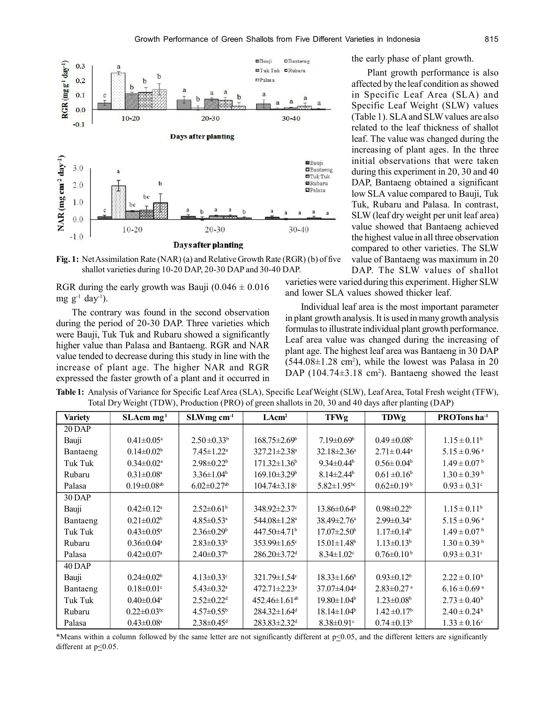

**Fig. 1:** Net Assimilation Rate (NAR) (a) and Relative Growth Rate (RGR) (b) of five shallot varieties during 10-20 DAP, 20-30 DAP and 30-40 DAP.

RGR during the early growth was Bauji  $(0.046 \pm 0.016$ mg  $g^{-1}$  day<sup>-1</sup>).

The contrary was found in the second observation during the period of 20-30 DAP. Three varieties which were Bauji, Tuk Tuk and Rubaru showed a significantly higher value than Palasa and Bantaeng. RGR and NAR value tended to decrease during this study in line with the increase of plant age. The higher NAR and RGR expressed the faster growth of a plant and it occurred in the early phase of plant growth.

Plant growth performance is also affected by the leaf condition as showed in Specific Leaf Area (SLA) and Specific Leaf Weight (SLW) values (Table 1). SLA and SLW values are also related to the leaf thickness of shallot leaf. The value was changed during the increasing of plant ages. In the three initial observations that were taken during this experiment in 20, 30 and 40 DAP, Bantaeng obtained a significant low SLA value compared to Bauji, Tuk Tuk, Rubaru and Palasa. In contrast, SLW (leaf dry weight per unit leaf area) value showed that Bantaeng achieved the highest value in all three observation compared to other varieties. The SLW value of Bantaeng was maximum in 20 DAP. The SLW values of shallot

varieties were varied during this experiment. Higher SLW and lower SLA values showed thicker leaf.

Individual leaf area is the most important parameter in plant growth analysis. It is used in many growth analysis formulas to illustrate individual plant growth performance. Leaf area value was changed during the increasing of plant age. The highest leaf area was Bantaeng in 30 DAP  $(544.08 \pm 1.28 \text{ cm}^2)$ , while the lowest was Palasa in 20 DAP  $(104.74 \pm 3.18 \text{ cm}^2)$ . Bantaeng showed the least

**Table 1:** Analysis of Variance for Specific Leaf Area (SLA), Specific Leaf Weight (SLW), Leaf Area, Total Fresh weight (TFW), Total Dry Weight (TDW), Production (PRO) of green shallots in 20, 30 and 40 days after planting (DAP)

| <b>Variety</b> | $SLAcm$ mg <sup>1</sup>       | $SLWmg$ cm <sup>-1</sup>      | LAcm <sup>2</sup>               | <b>TFWg</b>                   | <b>TDWg</b>                  | PROTons ha <sup>-1</sup>     |
|----------------|-------------------------------|-------------------------------|---------------------------------|-------------------------------|------------------------------|------------------------------|
| $20$ DAP       |                               |                               |                                 |                               |                              |                              |
| Bauji          | $0.41 \pm 0.05^{\text{a}}$    | $2.50 \pm 0.33^b$             | $168.75 \pm 2.69^{\circ}$       | $7.19 \pm 0.69^{\circ}$       | $0.49 \pm 0.08^b$            | $1.15 \pm 0.11^b$            |
| Bantaeng       | $0.14 \pm 0.02^b$             | $7.45 \pm 1.22^a$             | $327.21 \pm 2.38$ <sup>a</sup>  | $32.18 \pm 2.36^a$            | $2.71 \pm 0.44^a$            | $5.15 \pm 0.96$ <sup>a</sup> |
| Tuk Tuk        | $0.34 \pm 0.02^a$             | $2.98 \pm 0.22^b$             | $171.32 \pm 1.36$ <sup>b</sup>  | $9.34 \pm 0.44^b$             | $0.56 \pm 0.04^b$            | $1.49 \pm 0.07^{\mathrm{b}}$ |
| Rubaru         | $0.31 \pm 0.08^a$             | $3.36 \pm 1.04^b$             | $169.10\pm3.29^{\circ}$         | $8.14 \pm 2.44$ <sup>b</sup>  | $0.61 \pm 0.16^b$            | $1.30 \pm 0.39^{\mathrm{b}}$ |
| Palasa         | $0.19 \pm 0.08$ <sup>ab</sup> | $6.02 \pm 0.27$ <sup>ab</sup> | $104.74 \pm 3.18$ <sup>c</sup>  | $5.82 \pm 1.95$ <sup>bc</sup> | $0.62 \pm 0.19^b$            | $0.93 \pm 0.31$ °            |
| 30 DAP         |                               |                               |                                 |                               |                              |                              |
| Bauji          | $0.42 \pm 0.12^a$             | $2.52 \pm 0.61^{\circ}$       | $348.92 \pm 2.37$ °             | $13.86 \pm 0.64^{\circ}$      | $0.98 \pm 0.22^b$            | $1.15 \pm 0.11^b$            |
| Bantaeng       | $0.21 \pm 0.02^b$             | $4.85 \pm 0.53$ <sup>a</sup>  | 544.08±1.28 <sup>a</sup>        | $38.49 \pm 2.76^{\circ}$      | $2.99 \pm 0.34$ <sup>a</sup> | $5.15 \pm 0.96$ <sup>a</sup> |
| Tuk Tuk        | $0.43 \pm 0.05^{\text{a}}$    | $2.36 \pm 0.29$ <sup>b</sup>  | $447.50 \pm 4.71$ <sup>b</sup>  | $17.07 \pm 2.50^{\circ}$      | $1.17 \pm 0.14^b$            | $1.49 \pm 0.07^{\mathrm{b}}$ |
| Rubaru         | $0.36 \pm 0.04$ <sup>a</sup>  | $2.83 \pm 0.33^b$             | $353.99 \pm 1.65$ <sup>c</sup>  | $15.01 \pm 1.48$ <sup>b</sup> | $1.13 \pm 0.13^b$            | $1.30 \pm 0.39^{\mathrm{b}}$ |
| Palasa         | $0.42 \pm 0.07$ <sup>a</sup>  | $2.40\pm0.37$ <sup>b</sup>    | $286.20 \pm 3.72$ <sup>d</sup>  | $8.34 \pm 1.02$ <sup>c</sup>  | $0.76 \pm 0.10^{\mathrm{b}}$ | $0.93 \pm 0.31$ <sup>c</sup> |
| 40 DAP         |                               |                               |                                 |                               |                              |                              |
| Bauji          | $0.24 \pm 0.02^b$             | $4.13 \pm 0.33$ °             | $321.79 \pm 1.54$ °             | $18.33 \pm 1.66^b$            | $0.93 \pm 0.12^b$            | $2.22 \pm 0.10^b$            |
| Bantaeng       | $0.18 \pm 0.01$ <sup>c</sup>  | $5.43 \pm 0.32$ <sup>a</sup>  | $472.71 \pm 2.23$ <sup>a</sup>  | $37.07 \pm 4.04$ <sup>a</sup> | $2.83 \pm 0.27$ <sup>a</sup> | $6.16 \pm 0.69$ <sup>a</sup> |
| Tuk Tuk        | $0.40 \pm 0.04$ <sup>a</sup>  | $2.52 \pm 0.22$ <sup>d</sup>  | $452.46 \pm 1.61$ <sup>ab</sup> | $19.80 \pm 1.04^b$            | $1.23 \pm 0.08$ <sup>b</sup> | $2.73 \pm 0.40^b$            |
| Rubaru         | $0.22 \pm 0.03^{\rm bc}$      | $4.57 \pm 0.55^{\rm b}$       | $284.32 \pm 1.64$ <sup>d</sup>  | $18.14 \pm 1.04^b$            | $1.42 \pm 0.17^b$            | $2.40 \pm 0.24^b$            |
| Palasa         | $0.43 \pm 0.08^a$             | $2.38 \pm 0.45$ <sup>d</sup>  | $283.83 \pm 2.32$ <sup>d</sup>  | $8.38 \pm 0.91$ <sup>c</sup>  | $0.74 \pm 0.13^b$            | $1.33 \pm 0.16$ <sup>c</sup> |

\*Means within a column followed by the same letter are not significantly different at p<0.05, and the different letters are significantly different at  $p \leq 0.05$ .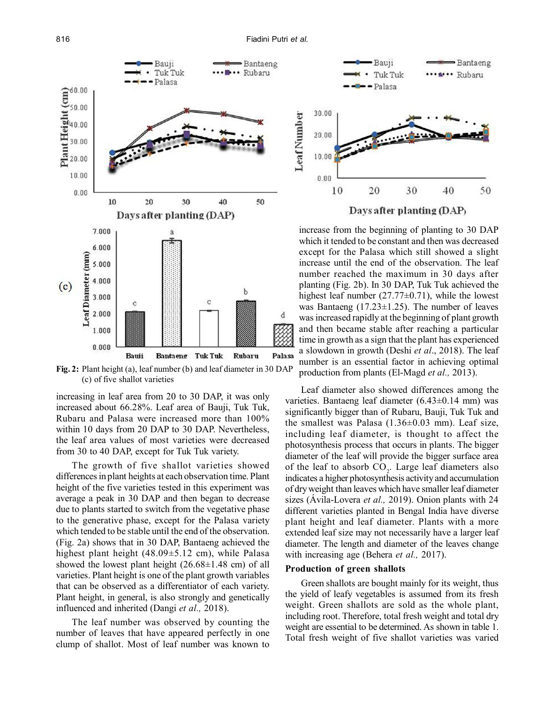

**Fig. 2:** Plant height (a), leaf number (b) and leaf diameter in 30 DAP (c) of five shallot varieties

increasing in leaf area from 20 to 30 DAP, it was only increased about 66.28%. Leaf area of Bauji, Tuk Tuk, Rubaru and Palasa were increased more than 100% within 10 days from 20 DAP to 30 DAP. Nevertheless, the leaf area values of most varieties were decreased from 30 to 40 DAP, except for Tuk Tuk variety.

The growth of five shallot varieties showed differences in plant heights at each observation time. Plant height of the five varieties tested in this experiment was average a peak in 30 DAP and then began to decrease due to plants started to switch from the vegetative phase to the generative phase, except for the Palasa variety which tended to be stable until the end of the observation. (Fig. 2a) shows that in 30 DAP, Bantaeng achieved the highest plant height (48.09±5.12 cm), while Palasa showed the lowest plant height  $(26.68\pm1.48$  cm) of all varieties. Plant height is one of the plant growth variables that can be observed as a differentiator of each variety. Plant height, in general, is also strongly and genetically influenced and inherited (Dangi *et al.,* 2018).

The leaf number was observed by counting the number of leaves that have appeared perfectly in one clump of shallot. Most of leaf number was known to



increase from the beginning of planting to 30 DAP which it tended to be constant and then was decreased except for the Palasa which still showed a slight increase until the end of the observation. The leaf number reached the maximum in 30 days after planting (Fig. 2b). In 30 DAP, Tuk Tuk achieved the highest leaf number  $(27.77\pm0.71)$ , while the lowest was Bantaeng  $(17.23 \pm 1.25)$ . The number of leaves was increased rapidly at the beginning of plant growth and then became stable after reaching a particular time in growth as a sign that the plant has experienced a slowdown in growth (Deshi *et al*., 2018). The leaf number is an essential factor in achieving optimal production from plants (El-Magd *et al.,* 2013).

Leaf diameter also showed differences among the varieties. Bantaeng leaf diameter  $(6.43\pm0.14$  mm) was significantly bigger than of Rubaru, Bauji, Tuk Tuk and the smallest was Palasa  $(1.36\pm0.03$  mm). Leaf size, including leaf diameter, is thought to affect the photosynthesis process that occurs in plants. The bigger diameter of the leaf will provide the bigger surface area of the leaf to absorb  $CO<sub>2</sub>$ . Large leaf diameters also indicates a higher photosynthesis activity and accumulation of dry weight than leaves which have smaller leaf diameter sizes (Ávila-Lovera *et al.,* 2019). Onion plants with 24 different varieties planted in Bengal India have diverse plant height and leaf diameter. Plants with a more extended leaf size may not necessarily have a larger leaf diameter. The length and diameter of the leaves change with increasing age (Behera *et al.,* 2017).

#### **Production of green shallots**

Green shallots are bought mainly for its weight, thus the yield of leafy vegetables is assumed from its fresh weight. Green shallots are sold as the whole plant, including root. Therefore, total fresh weight and total dry weight are essential to be determined. As shown in table 1. Total fresh weight of five shallot varieties was varied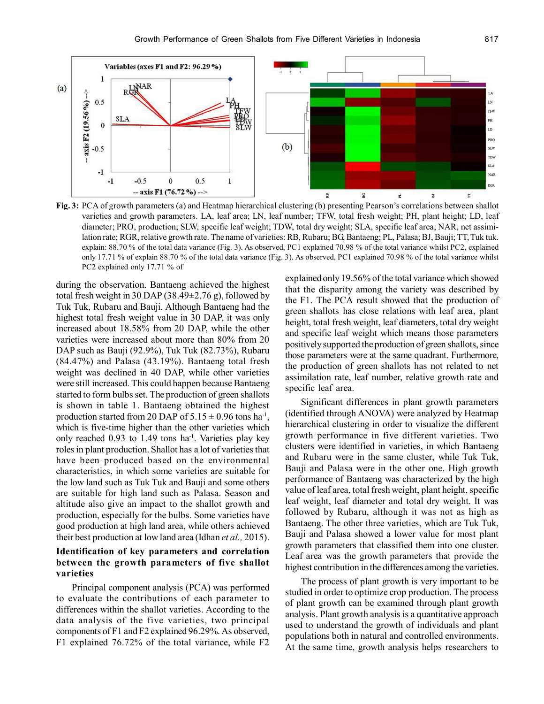

**Fig. 3:** PCA of growth parameters (a) and Heatmap hierarchical clustering (b) presenting Pearson's correlations between shallot varieties and growth parameters. LA, leaf area; LN, leaf number; TFW, total fresh weight; PH, plant height; LD, leaf diameter; PRO, production; SLW, specific leaf weight; TDW, total dry weight; SLA, specific leaf area; NAR, net assimilation rate; RGR, relative growth rate. The name of varieties: RB, Rubaru; BG, Bantaeng; PL, Palasa; BJ, Bauji; TT, Tuk tuk. explain: 88.70 % of the total data variance (Fig. 3). As observed, PC1 explained 70.98 % of the total variance whilst PC2, explained only 17.71 % of explain 88.70 % of the total data variance (Fig. 3). As observed, PC1 explained 70.98 % of the total variance whilst PC2 explained only 17.71 % of

during the observation. Bantaeng achieved the highest total fresh weight in 30 DAP (38.49±2.76 g), followed by Tuk Tuk, Rubaru and Bauji. Although Bantaeng had the highest total fresh weight value in 30 DAP, it was only increased about 18.58% from 20 DAP, while the other varieties were increased about more than 80% from 20 DAP such as Bauji (92.9%), Tuk Tuk (82.73%), Rubaru (84.47%) and Palasa (43.19%). Bantaeng total fresh weight was declined in 40 DAP, while other varieties were still increased. This could happen because Bantaeng started to form bulbs set. The production of green shallots is shown in table 1. Bantaeng obtained the highest production started from 20 DAP of  $5.15 \pm 0.96$  tons ha<sup>-1</sup>, which is five-time higher than the other varieties which only reached  $0.93$  to 1.49 tons ha<sup>-1</sup>. Varieties play key roles in plant production. Shallot has a lot of varieties that have been produced based on the environmental characteristics, in which some varieties are suitable for the low land such as Tuk Tuk and Bauji and some others are suitable for high land such as Palasa. Season and altitude also give an impact to the shallot growth and production, especially for the bulbs. Some varieties have good production at high land area, while others achieved their best production at low land area (Idhan *et al.,* 2015).

# **Identification of key parameters and correlation between the growth parameters of five shallot varieties**

Principal component analysis (PCA) was performed to evaluate the contributions of each parameter to differences within the shallot varieties. According to the data analysis of the five varieties, two principal components of F1 and F2 explained 96.29%. As observed, F1 explained 76.72% of the total variance, while F2

explained only 19.56% of the total variance which showed that the disparity among the variety was described by the F1. The PCA result showed that the production of green shallots has close relations with leaf area, plant height, total fresh weight, leaf diameters, total dry weight and specific leaf weight which means those parameters positively supported the production of green shallots, since those parameters were at the same quadrant. Furthermore, the production of green shallots has not related to net assimilation rate, leaf number, relative growth rate and specific leaf area.

Significant differences in plant growth parameters (identified through ANOVA) were analyzed by Heatmap hierarchical clustering in order to visualize the different growth performance in five different varieties. Two clusters were identified in varieties, in which Bantaeng and Rubaru were in the same cluster, while Tuk Tuk, Bauji and Palasa were in the other one. High growth performance of Bantaeng was characterized by the high value of leaf area, total fresh weight, plant height, specific leaf weight, leaf diameter and total dry weight. It was followed by Rubaru, although it was not as high as Bantaeng. The other three varieties, which are Tuk Tuk, Bauji and Palasa showed a lower value for most plant growth parameters that classified them into one cluster. Leaf area was the growth parameters that provide the highest contribution in the differences among the varieties.

The process of plant growth is very important to be studied in order to optimize crop production. The process of plant growth can be examined through plant growth analysis. Plant growth analysis is a quantitative approach used to understand the growth of individuals and plant populations both in natural and controlled environments. At the same time, growth analysis helps researchers to